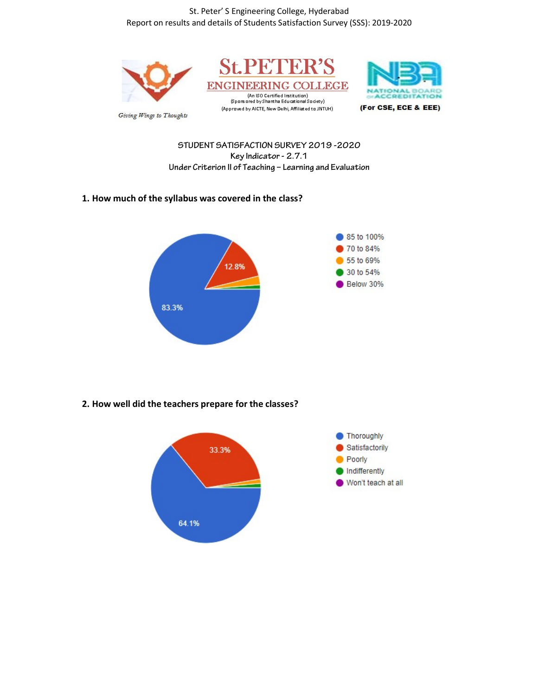St. Peter' S Engineering College, Hyderabad Report on results and details of Students Satisfaction Survey (SSS): 2019-2020



STUDENT SATISFACTION SURVEY 2019 -2020 Key Indicator - 2.7.1 Under Criterion II of Teaching – Learning and Evaluation

## 1. How much of the syllabus was covered in the class?



## 2. How well did the teachers prepare for the classes?

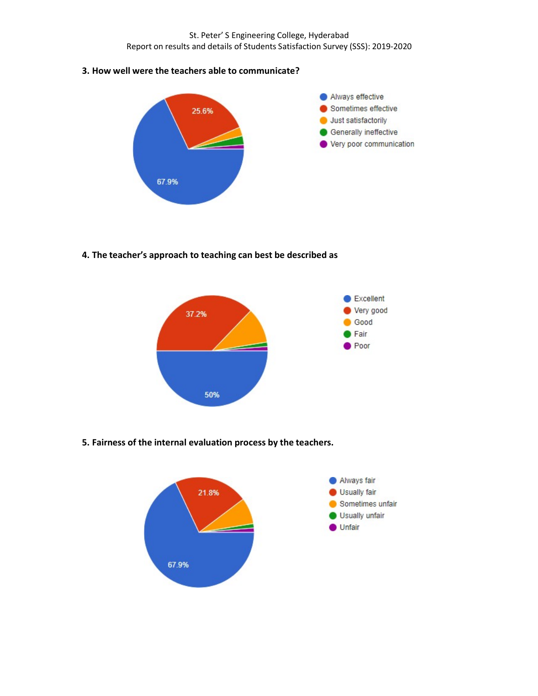St. Peter' S Engineering College, Hyderabad Report on results and details of Students Satisfaction Survey (SSS): 2019-2020

3. How well were the teachers able to communicate?



4. The teacher's approach to teaching can best be described as



5. Fairness of the internal evaluation process by the teachers.

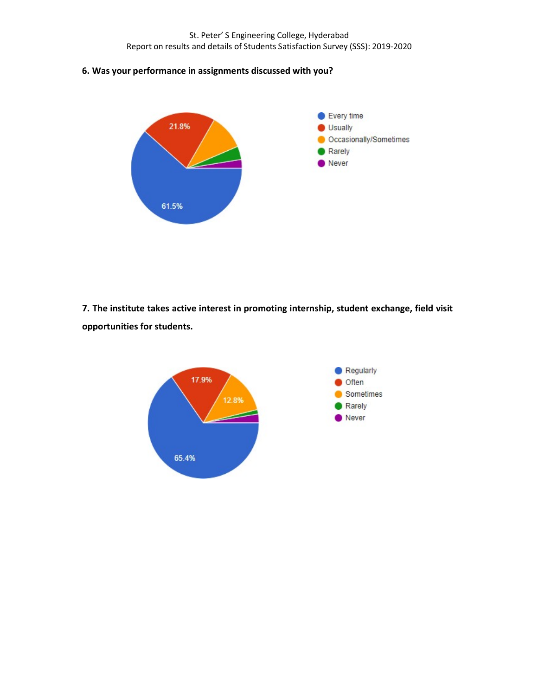St. Peter' S Engineering College, Hyderabad Report on results and details of Students Satisfaction Survey (SSS): 2019-2020

6. Was your performance in assignments discussed with you?



7. The institute takes active interest in promoting internship, student exchange, field visit opportunities for students.

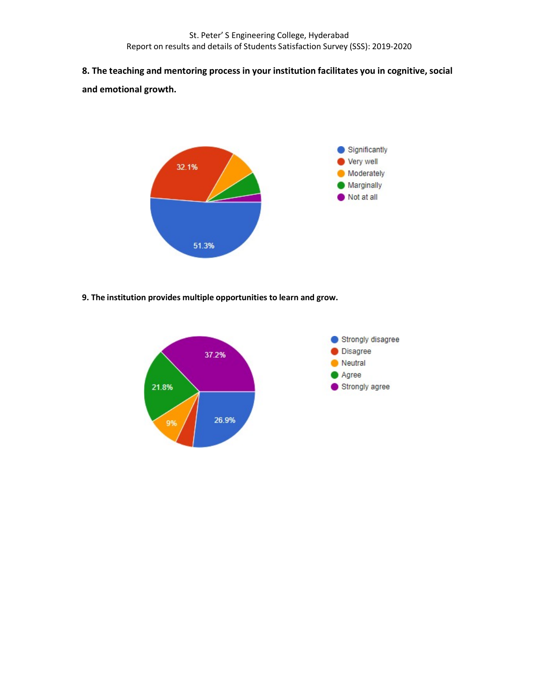8. The teaching and mentoring process in your institution facilitates you in cognitive, social and emotional growth.



9. The institution provides multiple opportunities to learn and grow.

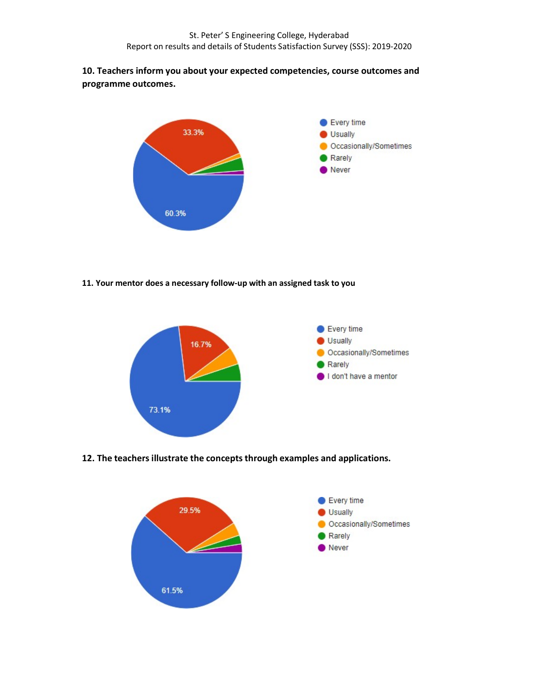## 10. Teachers inform you about your expected competencies, course outcomes and programme outcomes.



11. Your mentor does a necessary follow-up with an assigned task to you



12. The teachers illustrate the concepts through examples and applications.

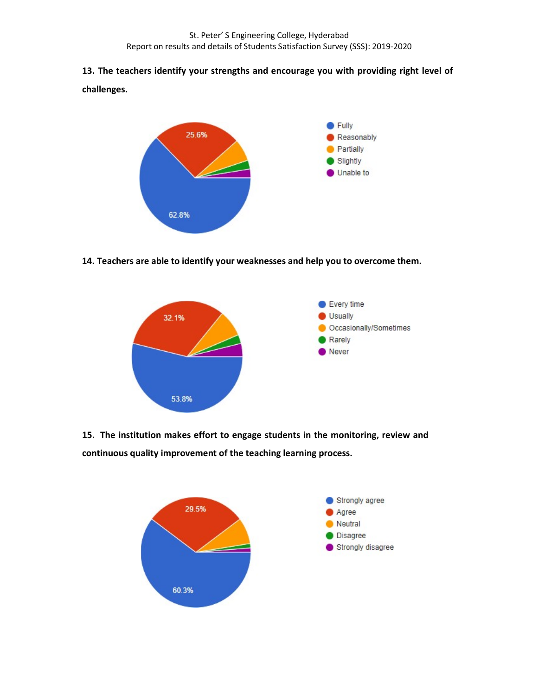# 13. The teachers identify your strengths and encourage you with providing right level of

challenges.



14. Teachers are able to identify your weaknesses and help you to overcome them.



15. The institution makes effort to engage students in the monitoring, review and continuous quality improvement of the teaching learning process.

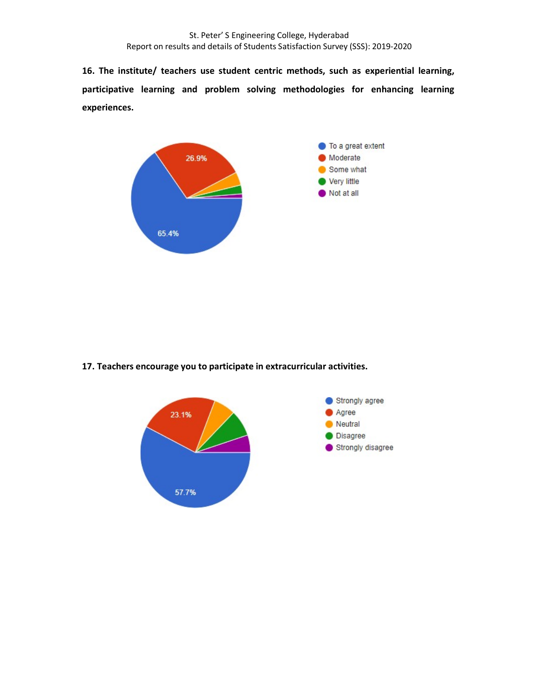16. The institute/ teachers use student centric methods, such as experiential learning, participative learning and problem solving methodologies for enhancing learning experiences.



17. Teachers encourage you to participate in extracurricular activities.

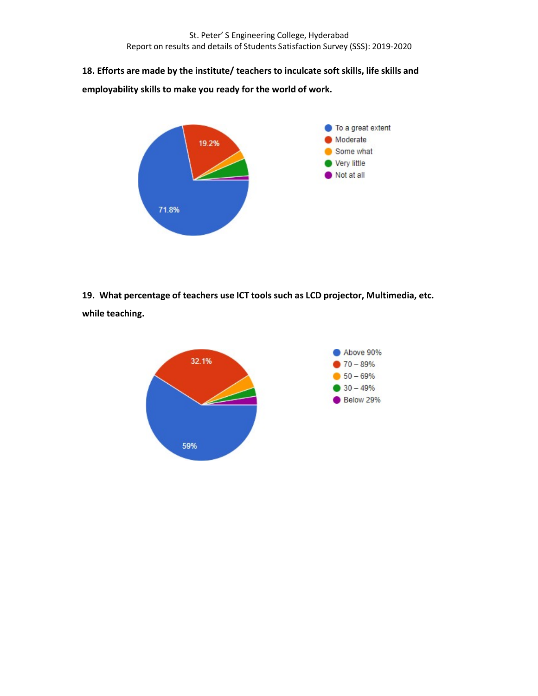18. Efforts are made by the institute/ teachers to inculcate soft skills, life skills and

employability skills to make you ready for the world of work.



19. What percentage of teachers use ICT tools such as LCD projector, Multimedia, etc. while teaching.